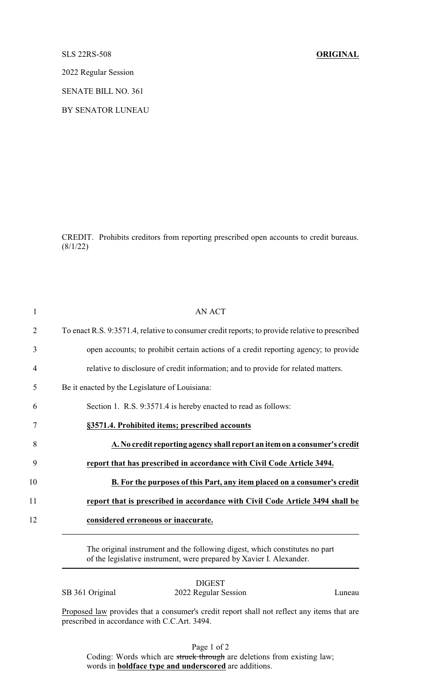## SLS 22RS-508 **ORIGINAL**

2022 Regular Session

SENATE BILL NO. 361

BY SENATOR LUNEAU

CREDIT. Prohibits creditors from reporting prescribed open accounts to credit bureaus.  $(8/1/22)$ 

| $\overline{2}$<br>3<br>relative to disclosure of credit information; and to provide for related matters.<br>4<br>Be it enacted by the Legislature of Louisiana:<br>5<br>Section 1. R.S. 9:3571.4 is hereby enacted to read as follows:<br>6<br>§3571.4. Prohibited items; prescribed accounts<br>7<br>8<br>9<br>report that has prescribed in accordance with Civil Code Article 3494.<br>10<br>11<br>12<br>considered erroneous or inaccurate.<br>The original instrument and the following digest, which constitutes no part<br>of the legislative instrument, were prepared by Xavier I. Alexander. | $\mathbf{1}$ | <b>AN ACT</b>                                                                                  |
|--------------------------------------------------------------------------------------------------------------------------------------------------------------------------------------------------------------------------------------------------------------------------------------------------------------------------------------------------------------------------------------------------------------------------------------------------------------------------------------------------------------------------------------------------------------------------------------------------------|--------------|------------------------------------------------------------------------------------------------|
|                                                                                                                                                                                                                                                                                                                                                                                                                                                                                                                                                                                                        |              | To enact R.S. 9:3571.4, relative to consumer credit reports; to provide relative to prescribed |
|                                                                                                                                                                                                                                                                                                                                                                                                                                                                                                                                                                                                        |              | open accounts; to prohibit certain actions of a credit reporting agency; to provide            |
|                                                                                                                                                                                                                                                                                                                                                                                                                                                                                                                                                                                                        |              |                                                                                                |
|                                                                                                                                                                                                                                                                                                                                                                                                                                                                                                                                                                                                        |              |                                                                                                |
|                                                                                                                                                                                                                                                                                                                                                                                                                                                                                                                                                                                                        |              |                                                                                                |
|                                                                                                                                                                                                                                                                                                                                                                                                                                                                                                                                                                                                        |              |                                                                                                |
|                                                                                                                                                                                                                                                                                                                                                                                                                                                                                                                                                                                                        |              | A. No credit reporting agency shall report an item on a consumer's credit                      |
|                                                                                                                                                                                                                                                                                                                                                                                                                                                                                                                                                                                                        |              |                                                                                                |
|                                                                                                                                                                                                                                                                                                                                                                                                                                                                                                                                                                                                        |              | B. For the purposes of this Part, any item placed on a consumer's credit                       |
|                                                                                                                                                                                                                                                                                                                                                                                                                                                                                                                                                                                                        |              | report that is prescribed in accordance with Civil Code Article 3494 shall be                  |
|                                                                                                                                                                                                                                                                                                                                                                                                                                                                                                                                                                                                        |              |                                                                                                |
|                                                                                                                                                                                                                                                                                                                                                                                                                                                                                                                                                                                                        |              |                                                                                                |

DIGEST

SB 361 Original 2022 Regular Session Luneau

Proposed law provides that a consumer's credit report shall not reflect any items that are prescribed in accordance with C.C.Art. 3494.

Page 1 of 2

Coding: Words which are struck through are deletions from existing law; words in **boldface type and underscored** are additions.